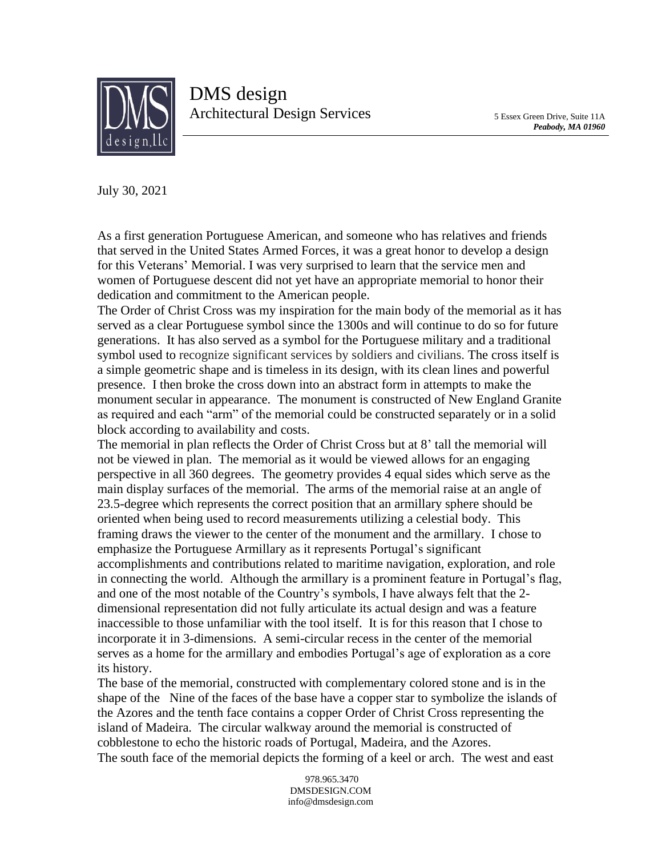

July 30, 2021

As a first generation Portuguese American, and someone who has relatives and friends that served in the United States Armed Forces, it was a great honor to develop a design for this Veterans' Memorial. I was very surprised to learn that the service men and women of Portuguese descent did not yet have an appropriate memorial to honor their dedication and commitment to the American people.

The Order of Christ Cross was my inspiration for the main body of the memorial as it has served as a clear Portuguese symbol since the 1300s and will continue to do so for future generations. It has also served as a symbol for the Portuguese military and a traditional symbol used to recognize significant services by soldiers and civilians. The cross itself is a simple geometric shape and is timeless in its design, with its clean lines and powerful presence. I then broke the cross down into an abstract form in attempts to make the monument secular in appearance. The monument is constructed of New England Granite as required and each "arm" of the memorial could be constructed separately or in a solid block according to availability and costs.

The memorial in plan reflects the Order of Christ Cross but at 8' tall the memorial will not be viewed in plan. The memorial as it would be viewed allows for an engaging perspective in all 360 degrees. The geometry provides 4 equal sides which serve as the main display surfaces of the memorial. The arms of the memorial raise at an angle of 23.5-degree which represents the correct position that an armillary sphere should be oriented when being used to record measurements utilizing a celestial body. This framing draws the viewer to the center of the monument and the armillary. I chose to emphasize the Portuguese Armillary as it represents Portugal's significant accomplishments and contributions related to maritime navigation, exploration, and role in connecting the world. Although the armillary is a prominent feature in Portugal's flag, and one of the most notable of the Country's symbols, I have always felt that the 2 dimensional representation did not fully articulate its actual design and was a feature inaccessible to those unfamiliar with the tool itself. It is for this reason that I chose to incorporate it in 3-dimensions. A semi-circular recess in the center of the memorial serves as a home for the armillary and embodies Portugal's age of exploration as a core its history.

The base of the memorial, constructed with complementary colored stone and is in the shape of the Nine of the faces of the base have a copper star to symbolize the islands of the Azores and the tenth face contains a copper Order of Christ Cross representing the island of Madeira. The circular walkway around the memorial is constructed of cobblestone to echo the historic roads of Portugal, Madeira, and the Azores. The south face of the memorial depicts the forming of a keel or arch. The west and east

> 978.965.3470 DMSDESIGN.COM info@dmsdesign.com